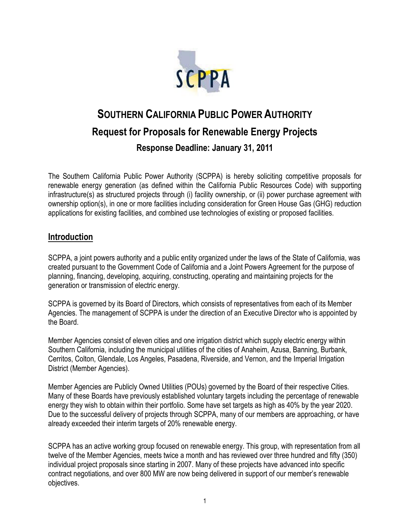

# **SOUTHERN CALIFORNIA PUBLIC POWER AUTHORITY Request for Proposals for Renewable Energy Projects Response Deadline: January 31, 2011**

The Southern California Public Power Authority (SCPPA) is hereby soliciting competitive proposals for renewable energy generation (as defined within the California Public Resources Code) with supporting infrastructure(s) as structured projects through (i) facility ownership, or (ii) power purchase agreement with ownership option(s), in one or more facilities including consideration for Green House Gas (GHG) reduction applications for existing facilities, and combined use technologies of existing or proposed facilities.

#### **Introduction**

SCPPA, a joint powers authority and a public entity organized under the laws of the State of California, was created pursuant to the Government Code of California and a Joint Powers Agreement for the purpose of planning, financing, developing, acquiring, constructing, operating and maintaining projects for the generation or transmission of electric energy.

SCPPA is governed by its Board of Directors, which consists of representatives from each of its Member Agencies. The management of SCPPA is under the direction of an Executive Director who is appointed by the Board.

Member Agencies consist of eleven cities and one irrigation district which supply electric energy within Southern California, including the municipal utilities of the cities of Anaheim, Azusa, Banning, Burbank, Cerritos, Colton, Glendale, Los Angeles, Pasadena, Riverside, and Vernon, and the Imperial Irrigation District (Member Agencies).

Member Agencies are Publicly Owned Utilities (POUs) governed by the Board of their respective Cities. Many of these Boards have previously established voluntary targets including the percentage of renewable energy they wish to obtain within their portfolio. Some have set targets as high as 40% by the year 2020. Due to the successful delivery of projects through SCPPA, many of our members are approaching, or have already exceeded their interim targets of 20% renewable energy.

SCPPA has an active working group focused on renewable energy. This group, with representation from all twelve of the Member Agencies, meets twice a month and has reviewed over three hundred and fifty (350) individual project proposals since starting in 2007. Many of these projects have advanced into specific contract negotiations, and over 800 MW are now being delivered in support of our member's renewable objectives.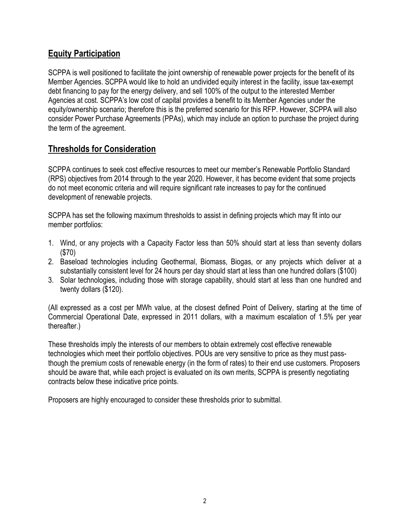# **Equity Participation**

SCPPA is well positioned to facilitate the joint ownership of renewable power projects for the benefit of its Member Agencies. SCPPA would like to hold an undivided equity interest in the facility, issue tax-exempt debt financing to pay for the energy delivery, and sell 100% of the output to the interested Member Agencies at cost. SCPPA's low cost of capital provides a benefit to its Member Agencies under the equity/ownership scenario; therefore this is the preferred scenario for this RFP. However, SCPPA will also consider Power Purchase Agreements (PPAs), which may include an option to purchase the project during the term of the agreement.

# **Thresholds for Consideration**

SCPPA continues to seek cost effective resources to meet our member's Renewable Portfolio Standard (RPS) objectives from 2014 through to the year 2020. However, it has become evident that some projects do not meet economic criteria and will require significant rate increases to pay for the continued development of renewable projects.

SCPPA has set the following maximum thresholds to assist in defining projects which may fit into our member portfolios:

- 1. Wind, or any projects with a Capacity Factor less than 50% should start at less than seventy dollars (\$70)
- 2. Baseload technologies including Geothermal, Biomass, Biogas, or any projects which deliver at a substantially consistent level for 24 hours per day should start at less than one hundred dollars (\$100)
- 3. Solar technologies, including those with storage capability, should start at less than one hundred and twenty dollars (\$120).

(All expressed as a cost per MWh value, at the closest defined Point of Delivery, starting at the time of Commercial Operational Date, expressed in 2011 dollars, with a maximum escalation of 1.5% per year thereafter.)

These thresholds imply the interests of our members to obtain extremely cost effective renewable technologies which meet their portfolio objectives. POUs are very sensitive to price as they must passthough the premium costs of renewable energy (in the form of rates) to their end use customers. Proposers should be aware that, while each project is evaluated on its own merits, SCPPA is presently negotiating contracts below these indicative price points.

Proposers are highly encouraged to consider these thresholds prior to submittal.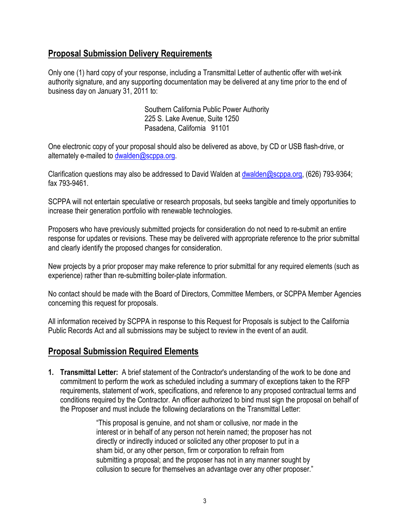#### **Proposal Submission Delivery Requirements**

Only one (1) hard copy of your response, including a Transmittal Letter of authentic offer with wet-ink authority signature, and any supporting documentation may be delivered at any time prior to the end of business day on January 31, 2011 to:

> Southern California Public Power Authority 225 S. Lake Avenue, Suite 1250 Pasadena, California 91101

One electronic copy of your proposal should also be delivered as above, by CD or USB flash-drive, or alternately e-mailed to [dwalden@scppa.org](mailto:dwalden@scppa.org).

Clarification questions may also be addressed to David Walden at [dwalden@scppa.org](mailto:dwalden@scppa.org), (626) 793-9364; fax 793-9461.

SCPPA will not entertain speculative or research proposals, but seeks tangible and timely opportunities to increase their generation portfolio with renewable technologies.

Proposers who have previously submitted projects for consideration do not need to re-submit an entire response for updates or revisions. These may be delivered with appropriate reference to the prior submittal and clearly identify the proposed changes for consideration.

New projects by a prior proposer may make reference to prior submittal for any required elements (such as experience) rather than re-submitting boiler-plate information.

No contact should be made with the Board of Directors, Committee Members, or SCPPA Member Agencies concerning this request for proposals.

All information received by SCPPA in response to this Request for Proposals is subject to the California Public Records Act and all submissions may be subject to review in the event of an audit.

#### **Proposal Submission Required Elements**

**1. Transmittal Letter:** A brief statement of the Contractor's understanding of the work to be done and commitment to perform the work as scheduled including a summary of exceptions taken to the RFP requirements, statement of work, specifications, and reference to any proposed contractual terms and conditions required by the Contractor. An officer authorized to bind must sign the proposal on behalf of the Proposer and must include the following declarations on the Transmittal Letter:

> "This proposal is genuine, and not sham or collusive, nor made in the interest or in behalf of any person not herein named; the proposer has not directly or indirectly induced or solicited any other proposer to put in a sham bid, or any other person, firm or corporation to refrain from submitting a proposal; and the proposer has not in any manner sought by collusion to secure for themselves an advantage over any other proposer."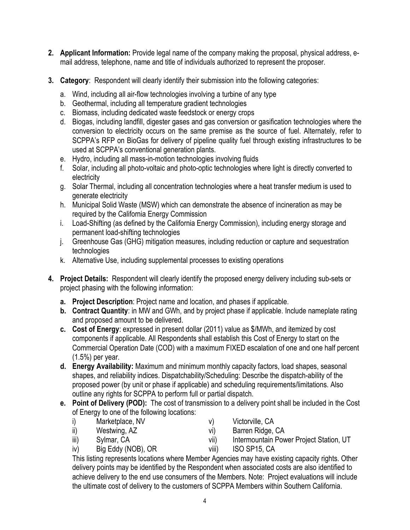- **2. Applicant Information:** Provide legal name of the company making the proposal, physical address, email address, telephone, name and title of individuals authorized to represent the proposer.
- **3. Category**: Respondent will clearly identify their submission into the following categories:
	- a. Wind, including all air-flow technologies involving a turbine of any type
	- b. Geothermal, including all temperature gradient technologies
	- c. Biomass, including dedicated waste feedstock or energy crops
	- d. Biogas, including landfill, digester gases and gas conversion or gasification technologies where the conversion to electricity occurs on the same premise as the source of fuel. Alternately, refer to SCPPA's RFP on BioGas for delivery of pipeline quality fuel through existing infrastructures to be used at SCPPA's conventional generation plants.
	- e. Hydro, including all mass-in-motion technologies involving fluids
	- f. Solar, including all photo-voltaic and photo-optic technologies where light is directly converted to electricity
	- g. Solar Thermal, including all concentration technologies where a heat transfer medium is used to generate electricity
	- h. Municipal Solid Waste (MSW) which can demonstrate the absence of incineration as may be required by the California Energy Commission
	- i. Load-Shifting (as defined by the California Energy Commission), including energy storage and permanent load-shifting technologies
	- j. Greenhouse Gas (GHG) mitigation measures, including reduction or capture and sequestration technologies
	- k. Alternative Use, including supplemental processes to existing operations
- **4. Project Details:** Respondent will clearly identify the proposed energy delivery including sub-sets or project phasing with the following information:
	- **a. Project Description**: Project name and location, and phases if applicable.
	- **b. Contract Quantity**: in MW and GWh, and by project phase if applicable. Include nameplate rating and proposed amount to be delivered.
	- **c. Cost of Energy**: expressed in present dollar (2011) value as \$/MWh, and itemized by cost components if applicable. All Respondents shall establish this Cost of Energy to start on the Commercial Operation Date (COD) with a maximum FIXED escalation of one and one half percent (1.5%) per year.
	- **d. Energy Availability:** Maximum and minimum monthly capacity factors, load shapes, seasonal shapes, and reliability indices. Dispatchability/Scheduling: Describe the dispatch-ability of the proposed power (by unit or phase if applicable) and scheduling requirements/limitations. Also outline any rights for SCPPA to perform full or partial dispatch.
	- **e. Point of Delivery (POD):** The cost of transmission to a delivery point shall be included in the Cost of Energy to one of the following locations:
		- i) Marketplace, NV
- v) Victorville, CA

ii) Westwing, AZ

- 
- vi) Barren Ridge, CA
- iii) Sylmar, CA
- vii) Intermountain Power Project Station, UT
- iv) Big Eddy (NOB), OR viii) ISO SP15, CA
- This listing represents locations where Member Agencies may have existing capacity rights. Other delivery points may be identified by the Respondent when associated costs are also identified to achieve delivery to the end use consumers of the Members. Note: Project evaluations will include the ultimate cost of delivery to the customers of SCPPA Members within Southern California.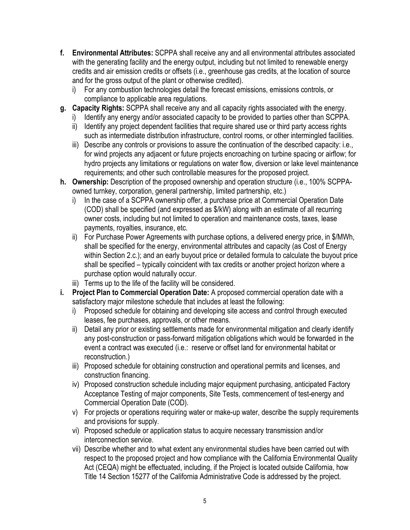- **f. Environmental Attributes:** SCPPA shall receive any and all environmental attributes associated with the generating facility and the energy output, including but not limited to renewable energy credits and air emission credits or offsets (i.e., greenhouse gas credits, at the location of source and for the gross output of the plant or otherwise credited).
	- i) For any combustion technologies detail the forecast emissions, emissions controls, or compliance to applicable area regulations.
- **g. Capacity Rights:** SCPPA shall receive any and all capacity rights associated with the energy.
	- i) Identify any energy and/or associated capacity to be provided to parties other than SCPPA.
	- ii) Identify any project dependent facilities that require shared use or third party access rights such as intermediate distribution infrastructure, control rooms, or other intermingled facilities.
	- iii) Describe any controls or provisions to assure the continuation of the described capacity: i.e., for wind projects any adjacent or future projects encroaching on turbine spacing or airflow; for hydro projects any limitations or regulations on water flow, diversion or lake level maintenance requirements; and other such controllable measures for the proposed project.
- **h. Ownership:** Description of the proposed ownership and operation structure (i.e., 100% SCPPAowned turnkey, corporation, general partnership, limited partnership, etc.)
	- i) In the case of a SCPPA ownership offer, a purchase price at Commercial Operation Date (COD) shall be specified (and expressed as \$/kW) along with an estimate of all recurring owner costs, including but not limited to operation and maintenance costs, taxes, lease payments, royalties, insurance, etc.
	- ii) For Purchase Power Agreements with purchase options, a delivered energy price, in \$/MWh, shall be specified for the energy, environmental attributes and capacity (as Cost of Energy within Section 2.c.); and an early buyout price or detailed formula to calculate the buyout price shall be specified – typically coincident with tax credits or another project horizon where a purchase option would naturally occur.
	- iii) Terms up to the life of the facility will be considered.
- **i. Project Plan to Commercial Operation Date:** A proposed commercial operation date with a satisfactory major milestone schedule that includes at least the following:
	- i) Proposed schedule for obtaining and developing site access and control through executed leases, fee purchases, approvals, or other means.
	- ii) Detail any prior or existing settlements made for environmental mitigation and clearly identify any post-construction or pass-forward mitigation obligations which would be forwarded in the event a contract was executed (i.e.: reserve or offset land for environmental habitat or reconstruction.)
	- iii) Proposed schedule for obtaining construction and operational permits and licenses, and construction financing.
	- iv) Proposed construction schedule including major equipment purchasing, anticipated Factory Acceptance Testing of major components, Site Tests, commencement of test-energy and Commercial Operation Date (COD).
	- v) For projects or operations requiring water or make-up water, describe the supply requirements and provisions for supply.
	- vi) Proposed schedule or application status to acquire necessary transmission and/or interconnection service.
	- vii) Describe whether and to what extent any environmental studies have been carried out with respect to the proposed project and how compliance with the California Environmental Quality Act (CEQA) might be effectuated, including, if the Project is located outside California, how Title 14 Section 15277 of the California Administrative Code is addressed by the project.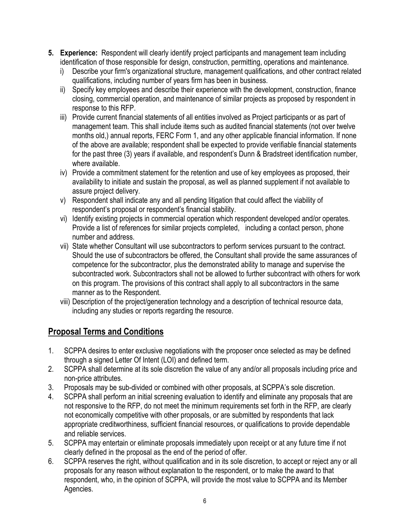- **5. Experience:** Respondent will clearly identify project participants and management team including identification of those responsible for design, construction, permitting, operations and maintenance.
	- i) Describe your firm's organizational structure, management qualifications, and other contract related qualifications, including number of years firm has been in business.
	- ii) Specify key employees and describe their experience with the development, construction, finance closing, commercial operation, and maintenance of similar projects as proposed by respondent in response to this RFP.
	- iii) Provide current financial statements of all entities involved as Project participants or as part of management team. This shall include items such as audited financial statements (not over twelve months old,) annual reports, FERC Form 1, and any other applicable financial information. If none of the above are available; respondent shall be expected to provide verifiable financial statements for the past three (3) years if available, and respondent's Dunn & Bradstreet identification number, where available.
	- iv) Provide a commitment statement for the retention and use of key employees as proposed, their availability to initiate and sustain the proposal, as well as planned supplement if not available to assure project delivery.
	- v) Respondent shall indicate any and all pending litigation that could affect the viability of respondent's proposal or respondent's financial stability.
	- vi) Identify existing projects in commercial operation which respondent developed and/or operates. Provide a list of references for similar projects completed, including a contact person, phone number and address.
	- vii) State whether Consultant will use subcontractors to perform services pursuant to the contract. Should the use of subcontractors be offered, the Consultant shall provide the same assurances of competence for the subcontractor, plus the demonstrated ability to manage and supervise the subcontracted work. Subcontractors shall not be allowed to further subcontract with others for work on this program. The provisions of this contract shall apply to all subcontractors in the same manner as to the Respondent.
	- viii) Description of the project/generation technology and a description of technical resource data, including any studies or reports regarding the resource.

# **Proposal Terms and Conditions**

- 1. SCPPA desires to enter exclusive negotiations with the proposer once selected as may be defined through a signed Letter Of Intent (LOI) and defined term.
- 2. SCPPA shall determine at its sole discretion the value of any and/or all proposals including price and non-price attributes.
- 3. Proposals may be sub-divided or combined with other proposals, at SCPPA's sole discretion.
- 4. SCPPA shall perform an initial screening evaluation to identify and eliminate any proposals that are not responsive to the RFP, do not meet the minimum requirements set forth in the RFP, are clearly not economically competitive with other proposals, or are submitted by respondents that lack appropriate creditworthiness, sufficient financial resources, or qualifications to provide dependable and reliable services.
- 5. SCPPA may entertain or eliminate proposals immediately upon receipt or at any future time if not clearly defined in the proposal as the end of the period of offer.
- 6. SCPPA reserves the right, without qualification and in its sole discretion, to accept or reject any or all proposals for any reason without explanation to the respondent, or to make the award to that respondent, who, in the opinion of SCPPA, will provide the most value to SCPPA and its Member Agencies.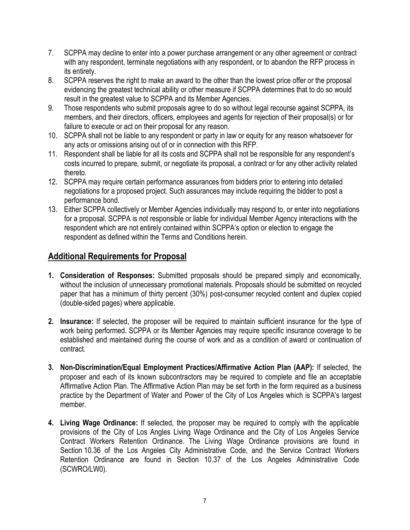- 7. SCPPA may decline to enter into a power purchase arrangement or any other agreement or contract with any respondent, terminate negotiations with any respondent, or to abandon the RFP process in its entirety.
- 8. SCPPA reserves the right to make an award to the other than the lowest price offer or the proposal evidencing the greatest technical ability or other measure if SCPPA determines that to do so would result in the greatest value to SCPPA and its Member Agencies.
- 9. Those respondents who submit proposals agree to do so without legal recourse against SCPPA, its members, and their directors, officers, employees and agents for rejection of their proposal(s) or for failure to execute or act on their proposal for any reason.
- 10. SCPPA shall not be liable to any respondent or party in law or equity for any reason whatsoever for any acts or omissions arising out of or in connection with this RFP.
- 11. Respondent shall be liable for all its costs and SCPPA shall not be responsible for any respondent's costs incurred to prepare, submit, or negotiate its proposal, a contract or for any other activity related thereto.
- 12. SCPPA may require certain performance assurances from bidders prior to entering into detailed negotiations for a proposed project. Such assurances may include requiring the bidder to post a performance bond.
- 13. Either SCPPA collectively or Member Agencies individually may respond to, or enter into negotiations for a proposal. SCPPA is not responsible or liable for individual Member Agency interactions with the respondent which are not entirely contained within SCPPA's option or election to engage the respondent as defined within the Terms and Conditions herein.

# **Additional Requirements for Proposal**

- **1. Consideration of Responses:** Submitted proposals should be prepared simply and economically, without the inclusion of unnecessary promotional materials. Proposals should be submitted on recycled paper that has a minimum of thirty percent (30%) post-consumer recycled content and duplex copied (double-sided pages) where applicable.
- **2. Insurance:** If selected, the proposer will be required to maintain sufficient insurance for the type of work being performed. SCPPA or its Member Agencies may require specific insurance coverage to be established and maintained during the course of work and as a condition of award or continuation of contract.
- **3. Non-Discrimination/Equal Employment Practices/Affirmative Action Plan (AAP):** If selected, the proposer and each of its known subcontractors may be required to complete and file an acceptable Affirmative Action Plan. The Affirmative Action Plan may be set forth in the form required as a business practice by the Department of Water and Power of the City of Los Angeles which is SCPPA's largest member.
- **4. Living Wage Ordinance:** If selected, the proposer may be required to comply with the applicable provisions of the City of Los Angles Living Wage Ordinance and the City of Los Angeles Service Contract Workers Retention Ordinance. The Living Wage Ordinance provisions are found in Section 10.36 of the Los Angeles City Administrative Code, and the Service Contract Workers Retention Ordinance are found in Section 10.37 of the Los Angeles Administrative Code (SCWRO/LW0).